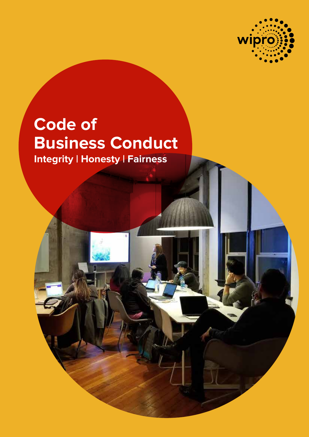

# **Code of Business Conduct Integrity | Honesty | Fairness**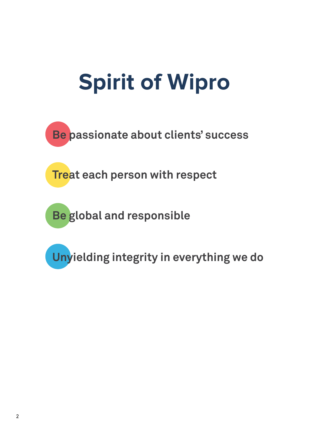# **Spirit of Wipro**

**Be passionate about clients' success**

**Treat each person with respect**

**Be global and responsible**

**Unyielding integrity in everything we do**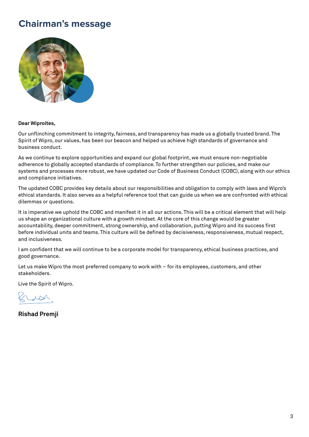# **Chairman's message**



## **Dear Wiproites,**

Our unflinching commitment to integrity, fairness, and transparency has made us a globally trusted brand. The Spirit of Wipro, our values, has been our beacon and helped us achieve high standards of governance and business conduct.

As we continue to explore opportunities and expand our global footprint, we must ensure non-negotiable adherence to globally accepted standards of compliance. To further strengthen our policies, and make our systems and processes more robust, we have updated our Code of Business Conduct (COBC), along with our ethics and compliance initiatives.

The updated COBC provides key details about our responsibilities and obligation to comply with laws and Wipro's ethical standards. It also serves as a helpful reference tool that can guide us when we are confronted with ethical dilemmas or questions.

It is imperative we uphold the COBC and manifest it in all our actions. This will be a critical element that will help us shape an organizational culture with a growth mindset. At the core of this change would be greater accountability, deeper commitment, strong ownership, and collaboration, putting Wipro and its success first before individual units and teams. This culture will be defined by decisiveness, responsiveness, mutual respect, and inclusiveness.

I am confident that we will continue to be a corporate model for transparency, ethical business practices, and good governance.

Let us make Wipro the most preferred company to work with – for its employees, customers, and other stakeholders.

Live the Spirit of Wipro.

 $1124$ 

**Rishad Premji**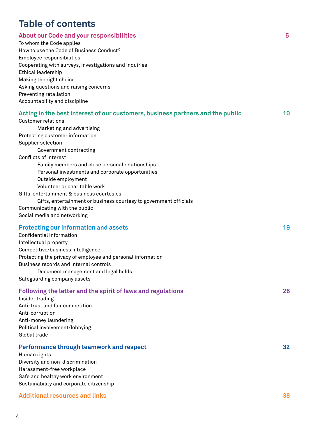# **Table of contents**

| To whom the Code applies<br>How to use the Code of Business Conduct?<br>Employee responsibilities<br>Cooperating with surveys, investigations and inquiries<br>Ethical leadership<br>Making the right choice<br>Asking questions and raising concerns<br>Preventing retaliation<br>Accountability and discipline                                                                                                                                                |    |
|-----------------------------------------------------------------------------------------------------------------------------------------------------------------------------------------------------------------------------------------------------------------------------------------------------------------------------------------------------------------------------------------------------------------------------------------------------------------|----|
| Acting in the best interest of our customers, business partners and the public<br><b>Customer relations</b><br>Marketing and advertising<br>Protecting customer information<br>Supplier selection<br>Government contracting<br>Conflicts of interest<br>Family members and close personal relationships<br>Personal investments and corporate opportunities<br>Outside employment<br>Volunteer or charitable work<br>Gifts, entertainment & business courtesies | 10 |
| Gifts, entertainment or business courtesy to government officials<br>Communicating with the public<br>Social media and networking                                                                                                                                                                                                                                                                                                                               |    |
| <b>Protecting our information and assets</b><br>Confidential information<br>Intellectual property<br>Competitive/business intelligence<br>Protecting the privacy of employee and personal information<br>Business records and internal controls<br>Document management and legal holds<br>Safeguarding company assets                                                                                                                                           | 19 |
| Following the letter and the spirit of laws and regulations<br>Insider trading<br>Anti-trust and fair competition<br>Anti-corruption<br>Anti-money laundering<br>Political involvement/lobbying<br>Global trade                                                                                                                                                                                                                                                 | 26 |
| Performance through teamwork and respect<br>Human rights<br>Diversity and non-discrimination<br>Harassment-free workplace<br>Safe and healthy work environment<br>Sustainability and corporate citizenship                                                                                                                                                                                                                                                      | 32 |

## **Additional resources and links 38**

**About our Code and your responsibilities 5**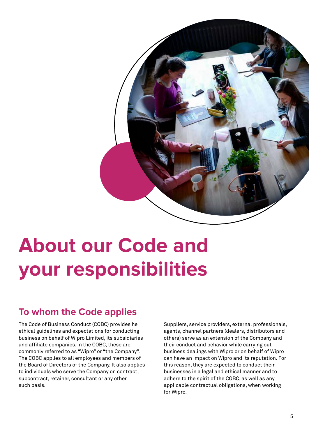

# **About our Code and your responsibilities**

# **To whom the Code applies**

The Code of Business Conduct (COBC) provides he ethical guidelines and expectations for conducting business on behalf of Wipro Limited, its subsidiaries and affiliate companies. In the COBC, these are commonly referred to as "Wipro" or "the Company". The COBC applies to all employees and members of the Board of Directors of the Company. It also applies to individuals who serve the Company on contract, subcontract, retainer, consultant or any other such basis.

Suppliers, service providers, external professionals, agents, channel partners (dealers, distributors and others) serve as an extension of the Company and their conduct and behavior while carrying out business dealings with Wipro or on behalf of Wipro can have an impact on Wipro and its reputation. For this reason, they are expected to conduct their businesses in a legal and ethical manner and to adhere to the spirit of the COBC, as well as any applicable contractual obligations, when working for Wipro.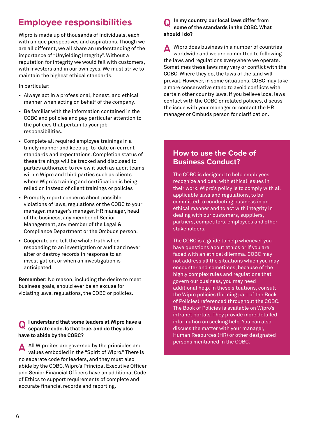# **Employee responsibilities**

Wipro is made up of thousands of individuals, each with unique perspectives and aspirations. Though we are all different, we all share an understanding of the importance of "Unyielding Integrity". Without a reputation for integrity we would fail with customers, with investors and in our own eyes. We must strive to maintain the highest ethical standards.

In particular:

- Always act in a professional, honest, and ethical manner when acting on behalf of the company.
- Be familiar with the information contained in the COBC and policies and pay particular attention to the policies that pertain to your job responsibilities.
- Complete all required employee trainings in a timely manner and keep up-to-date on current standards and expectations. Completion status of these trainings will be tracked and disclosed to parties authorized to review it such as audit teams within Wipro and third parties such as clients where Wipro's training and certification is being relied on instead of client trainings or policies
- Promptly report concerns about possible violations of laws, regulations or the COBC to your manager, manager's manager, HR manager, head of the business, any member of Senior Management, any member of the Legal & Compliance Department or the Ombuds person.
- Cooperate and tell the whole truth when responding to an investigation or audit and never alter or destroy records in response to an investigation, or when an investigation is anticipated.

**Remember:** No reason, including the desire to meet business goals, should ever be an excuse for violating laws, regulations, the COBC or policies.

#### **I understand that some leaders at Wipro have a separate code. Is that true, and do they also have to abide by the COBC? Q**

All Wiproites are governed by the principles and values embodied in the "Spirit of Wipro." There is no separate code for leaders, and they must also abide by the COBC. Wipro's Principal Executive Officer and Senior Financial Officers have an additional Code of Ethics to support requirements of complete and accurate financial records and reporting. **A**

#### **In my country, our local laws differ from some of the standards in the COBC. What should I do? Q**

A Wipro does business in a number of countries<br>worldwide and we are committed to following worldwide and we are committed to following the laws and regulations everywhere we operate. Sometimes these laws may vary or conflict with the COBC. Where they do, the laws of the land will prevail. However, in some situations, COBC may take a more conservative stand to avoid conflicts with certain other country laws. If you believe local laws conflict with the COBC or related policies, discuss the issue with your manager or contact the HR manager or Ombuds person for clarification.

# **How to use the Code of Business Conduct?**

The COBC is designed to help employees recognize and deal with ethical issues in their work. Wipro's policy is to comply with all applicable laws and regulations, to be committed to conducting business in an ethical manner and to act with integrity in dealing with our customers, suppliers, partners, competitors, employees and other stakeholders.

The COBC is a guide to help whenever you have questions about ethics or if you are faced with an ethical dilemma. COBC may not address all the situations which you may encounter and sometimes, because of the highly complex rules and regulations that govern our business, you may need additional help. In these situations, consult the Wipro policies (forming part of the Book of Policies) referenced throughout the COBC. The Book of Policies is available on Wipro's intranet portals. They provide more detailed information on seeking help. You can also discuss the matter with your manager, Human Resources (HR) or other designated persons mentioned in the COBC.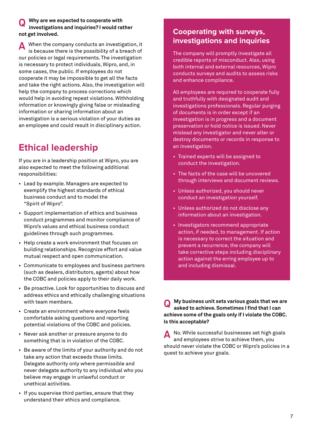#### **Why are we expected to cooperate with investigations and inquiries? I would rather not get involved. Q**

When the company conducts an investigation, it is because there is the possibility of a breach of our policies or legal requirements. The investigation is necessary to protect individuals, Wipro, and, in some cases, the public. If employees do not cooperate it may be impossible to get all the facts and take the right actions. Also, the investigation will help the company to process corrections which would help in avoiding repeat violations. Withholding information or knowingly giving false or misleading information or sharing information about an investigation is a serious violation of your duties as an employee and could result in disciplinary action. **A**

# **Ethical leadership**

If you are in a leadership position at Wipro, you are also expected to meet the following additional responsibilities:

- Lead by example. Managers are expected to exemplify the highest standards of ethical business conduct and to model the "Spirit of Wipro".
- Support implementation of ethics and business conduct programmes and monitor compliance of Wipro's values and ethical business conduct guidelines through such programmes.
- Help create a work environment that focuses on building relationships. Recognize effort and value mutual respect and open communication.
- Communicate to employees and business partners (such as dealers, distributors, agents) about how the COBC and policies apply to their daily work.
- Be proactive. Look for opportunities to discuss and address ethics and ethically challenging situations with team members.
- Create an environment where everyone feels comfortable asking questions and reporting potential violations of the COBC and policies.
- Never ask another or pressure anyone to do something that is in violation of the COBC.
- Be aware of the limits of your authority and do not take any action that exceeds those limits. Delegate authority only where permissible and never delegate authority to any individual who you believe may engage in unlawful conduct or unethical activities.
- If you supervise third parties, ensure that they understand their ethics and compliance.

# **Cooperating with surveys, investigations and inquiries**

The company will promptly investigate all credible reports of misconduct. Also, using both internal and external resources, Wipro conducts surveys and audits to assess risks and enhance compliance.

All employees are required to cooperate fully and truthfully with designated audit and investigations professionals. Regular purging of documents is in order except if an investigation is in progress and a document preservation or hold notice is issued. Never mislead any investigator and never alter or destroy documents or records in response to an investigation.

- Trained experts will be assigned to conduct the investigation.
- The facts of the case will be uncovered through interviews and document reviews.
- Unless authorized, you should never conduct an investigation yourself.
- Unless authorized do not disclose any information about an investigation.
- Investigators recommend appropriate action, if needed, to management. If action is necessary to correct the situation and prevent a recurrence, the company will take corrective steps including disciplinary action against the erring employee up to and including dismissal.

**My business unit sets various goals that we are asked to achieve. Sometimes I find that I can achieve some of the goals only if I violate the COBC. Is this acceptable? Q**

No. While successful businesses set high goals and employees strive to achieve them, you should never violate the COBC or Wipro's policies in a quest to achieve your goals. **A**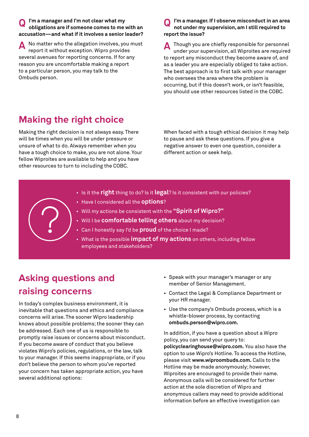#### **I'm a manager and I'm not clear what my obligations are if someone comes to me with an accusation—and what if it involves a senior leader? Q**

No matter who the allegation involves, you must report it without exception. Wipro provides several avenues for reporting concerns. If for any reason you are uncomfortable making a report to a particular person, you may talk to the Ombuds person. **A**

#### **I'm a manager. If I observe misconduct in an area not under my supervision, am I still required to report the issue? Q**

Though you are chiefly responsible for personnel under your supervision, all Wiproites are required to report any misconduct they become aware of, and as a leader you are especially obliged to take action. The best approach is to first talk with your manager who oversees the area where the problem is occurring, but if this doesn't work, or isn't feasible, you should use other resources listed in the COBC. **A**

# **Making the right choice**

Making the right decision is not always easy. There will be times when you will be under pressure or unsure of what to do. Always remember when you have a tough choice to make, you are not alone. Your fellow Wiproites are available to help and you have other resources to turn to including the COBC.

When faced with a tough ethical decision it may help to pause and ask these questions. If you give a negative answer to even one question, consider a different action or seek help.

- Is it the **right** thing to do? Is it **legal**? Is it consistent with our policies?
- Have I considered all the **options**?
- Will my actions be consistent with the **"Spirit of Wipro?"**
- Will I be **comfortable telling others** about my decision?
- Can I honestly say I'd be **proud** of the choice I made?
- What is the possible **impact of my actions** on others, including fellow employees and stakeholders?

# **Asking questions and raising concerns**

In today's complex business environment, it is inevitable that questions and ethics and compliance concerns will arise. The sooner Wipro leadership knows about possible problems; the sooner they can be addressed. Each one of us is responsible to promptly raise issues or concerns about misconduct. If you become aware of conduct that you believe violates Wipro's policies, regulations, or the law, talk to your manager. If this seems inappropriate, or if you don't believe the person to whom you've reported your concern has taken appropriate action, you have several additional options:

- Speak with your manager's manager or any member of Senior Management.
- Contact the Legal & Compliance Department or your HR manager.
- Use the company's Ombuds process, which is a whistle-blower process, by contacting **ombuds.person@wipro.com.**

In addition, if you have a question about a Wipro policy, you can send your query to: **policyclearinghouse@wipro.com.** You also have the option to use Wipro's Hotline. To access the Hotline, please visit **www.wiproombuds.com.** Calls to the Hotline may be made anonymously; however, Wiproites are encouraged to provide their name. Anonymous calls will be considered for further action at the sole discretion of Wipro and anonymous callers may need to provide additional information before an effective investigation can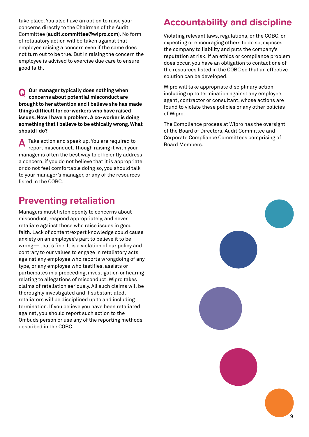take place. You also have an option to raise your concerns directly to the Chairman of the Audit Committee (**audit.committee@wipro.com**). No form of retaliatory action will be taken against that employee raising a concern even if the same does not turn out to be true. But in raising the concern the employee is advised to exercise due care to ensure good faith.

**Our manager typically does nothing when concerns about potential misconduct are brought to her attention and I believe she has made things difficult for co-workers who have raised issues. Now I have a problem. A co-worker is doing something that I believe to be ethically wrong. What should I do? Q**

Take action and speak up. You are required to report misconduct. Though raising it with your manager is often the best way to efficiently address a concern, if you do not believe that it is appropriate or do not feel comfortable doing so, you should talk to your manager's manager, or any of the resources listed in the COBC. **A**

# **Preventing retaliation**

Managers must listen openly to concerns about misconduct, respond appropriately, and never retaliate against those who raise issues in good faith. Lack of content/expert knowledge could cause anxiety on an employee's part to believe it to be wrong— that's fine. It is a violation of our policy and contrary to our values to engage in retaliatory acts against any employee who reports wrongdoing of any type, or any employee who testifies, assists or participates in a proceeding, investigation or hearing relating to allegations of misconduct. Wipro takes claims of retaliation seriously. All such claims will be thoroughly investigated and if substantiated, retaliators will be disciplined up to and including termination. If you believe you have been retaliated against, you should report such action to the Ombuds person or use any of the reporting methods described in the COBC.

# **Accountability and discipline**

Violating relevant laws, regulations, or the COBC, or expecting or encouraging others to do so, exposes the company to liability and puts the company's reputation at risk. If an ethics or compliance problem does occur, you have an obligation to contact one of the resources listed in the COBC so that an effective solution can be developed.

Wipro will take appropriate disciplinary action including up to termination against any employee, agent, contractor or consultant, whose actions are found to violate these policies or any other policies of Wipro.

The Compliance process at Wipro has the oversight of the Board of Directors, Audit Committee and Corporate Compliance Committees comprising of Board Members.

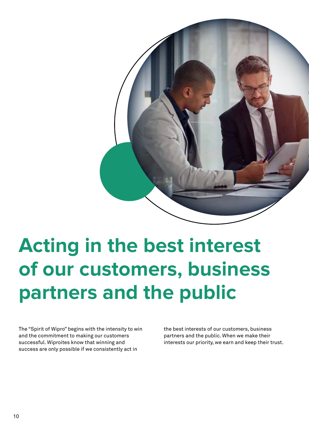

# **Acting in the best interest of our customers, business partners and the public**

The "Spirit of Wipro" begins with the intensity to win and the commitment to making our customers successful. Wiproites know that winning and success are only possible if we consistently act in

the best interests of our customers, business partners and the public. When we make their interests our priority, we earn and keep their trust.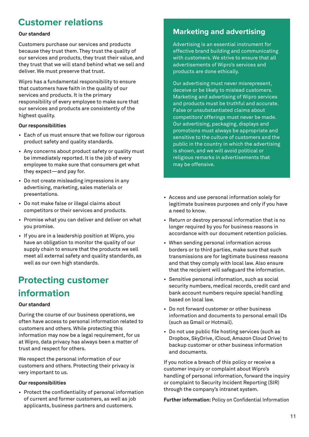# **Customer relations**

## **Our standard**

Customers purchase our services and products because they trust them. They trust the quality of our services and products, they trust their value, and they trust that we will stand behind what we sell and deliver. We must preserve that trust.

Wipro has a fundamental responsibility to ensure that customers have faith in the quality of our services and products. It is the primary responsibility of every employee to make sure that our services and products are consistently of the highest quality.

## **Our responsibilities**

- Each of us must ensure that we follow our rigorous product safety and quality standards.
- Any concerns about product safety or quality must be immediately reported. It is the job of every employee to make sure that consumers get what they expect—and pay for.
- Do not create misleading impressions in any advertising, marketing, sales materials or presentations.
- Do not make false or illegal claims about competitors or their services and products.
- Promise what you can deliver and deliver on what you promise.
- If you are in a leadership position at Wipro, you have an obligation to monitor the quality of our supply chain to ensure that the products we sell meet all external safety and quality standards, as well as our own high standards.

# **Protecting customer information**

## **Our standard**

During the course of our business operations, we often have access to personal information related to customers and others. While protecting this information may now be a legal requirement, for us at Wipro, data privacy has always been a matter of trust and respect for others.

We respect the personal information of our customers and others. Protecting their privacy is very important to us.

## **Our responsibilities**

• Protect the confidentiality of personal information of current and former customers, as well as job applicants, business partners and customers.

# **Marketing and advertising**

Advertising is an essential instrument for effective brand building and communicating with customers. We strive to ensure that all advertisements of Wipro's services and products are done ethically.

Our advertising must never misrepresent, deceive or be likely to mislead customers. Marketing and advertising of Wipro services and products must be truthful and accurate. False or unsubstantiated claims about competitors' offerings must never be made. Our advertising, packaging, displays and promotions must always be appropriate and sensitive to the culture of customers and the public in the country in which the advertising is shown, and we will avoid political or religious remarks in advertisements that may be offensive.

- Access and use personal information solely for legitimate business purposes and only if you have a need to know.
- Return or destroy personal information that is no longer required by you for business reasons in accordance with our document retention policies.
- When sending personal information across borders or to third parties, make sure that such transmissions are for legitimate business reasons and that they comply with local law. Also ensure that the recipient will safeguard the information.
- Sensitive personal information, such as social security numbers, medical records, credit card and bank account numbers require special handling based on local law.
- Do not forward customer or other business information and documents to personal email IDs (such as Gmail or Hotmail).
- Do not use public file hosting services (such as Dropbox, SkyDrive, iCloud, Amazon Cloud Drive) to backup customer or other business information and documents.

If you notice a breach of this policy or receive a customer inquiry or complaint about Wipro's handling of personal information, forward the inquiry or complaint to Security Incident Reporting (SIR) through the company's intranet system.

**Further information:** Policy on Confidential Information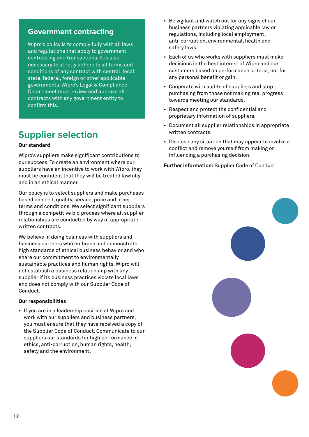# **Government contracting**

Wipro's policy is to comply fully with all laws and regulations that apply to government contracting and transactions. It is also necessary to strictly adhere to all terms and conditions of any contract with central, local, state, federal, foreign or other applicable governments. Wipro's Legal & Compliance Department must review and approve all contracts with any government entity to confirm this.

# **Supplier selection**

## **Our standard**

Wipro's suppliers make significant contributions to our success. To create an environment where our suppliers have an incentive to work with Wipro, they must be confident that they will be treated lawfully and in an ethical manner.

Our policy is to select suppliers and make purchases based on need, quality, service, price and other terms and conditions. We select significant suppliers through a competitive bid process where all supplier relationships are conducted by way of appropriate written contracts.

We believe in doing business with suppliers and business partners who embrace and demonstrate high standards of ethical business behavior and who share our commitment to environmentally sustainable practices and human rights. Wipro will not establish a business relationship with any supplier if its business practices violate local laws and does not comply with our Supplier Code of Conduct.

#### **Our responsibilities**

• If you are in a leadership position at Wipro and work with our suppliers and business partners, you must ensure that they have received a copy of the Supplier Code of Conduct. Communicate to our suppliers our standards for high performance in ethics, anti-corruption, human rights, health, safety and the environment.

- Be vigilant and watch out for any signs of our business partners violating applicable law or regulations, including local employment, anti-corruption, environmental, health and safety laws.
- Each of us who works with suppliers must make decisions in the best interest of Wipro and our customers based on performance criteria, not for any personal benefit or gain.
- Cooperate with audits of suppliers and stop purchasing from those not making real progress towards meeting our standards.
- Respect and protect the confidential and proprietary information of suppliers.
- Document all supplier relationships in appropriate written contracts.
- Disclose any situation that may appear to involve a conflict and remove yourself from making or influencing a purchasing decision.

**Further information:** Supplier Code of Conduct

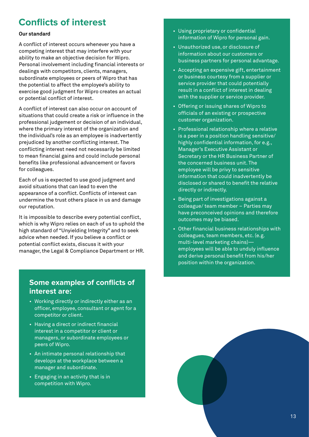# **Conflicts of interest**

## **Our standard**

A conflict of interest occurs whenever you have a competing interest that may interfere with your ability to make an objective decision for Wipro. Personal involvement including financial interests or dealings with competitors, clients, managers, subordinate employees or peers of Wipro that has the potential to affect the employee's ability to exercise good judgment for Wipro creates an actual or potential conflict of interest.

A conflict of interest can also occur on account of situations that could create a risk or influence in the professional judgement or decision of an individual, where the primary interest of the organization and the individual's role as an employee is inadvertently prejudiced by another conflicting interest. The conflicting interest need not necessarily be limited to mean financial gains and could include personal benefits like professional advancement or favors for colleagues.

Each of us is expected to use good judgment and avoid situations that can lead to even the appearance of a conflict. Conflicts of interest can undermine the trust others place in us and damage our reputation.

It is impossible to describe every potential conflict, which is why Wipro relies on each of us to uphold the high standard of "Unyielding Integrity" and to seek advice when needed. If you believe a conflict or potential conflict exists, discuss it with your manager, the Legal & Compliance Department or HR.

# **Some examples of conflicts of interest are:**

- Working directly or indirectly either as an officer, employee, consultant or agent for a competitor or client.
- Having a direct or indirect financial interest in a competitor or client or managers, or subordinate employees or peers of Wipro.
- An intimate personal relationship that develops at the workplace between a manager and subordinate.
- Engaging in an activity that is in competition with Wipro.
- Using proprietary or confidential information of Wipro for personal gain.
- Unauthorized use, or disclosure of information about our customers or business partners for personal advantage.
- Accepting an expensive gift, entertainment or business courtesy from a supplier or service provider that could potentially result in a conflict of interest in dealing with the supplier or service provider.
- Offering or issuing shares of Wipro to officials of an existing or prospective customer organization.
- Professional relationship where a relative is a peer in a position handling sensitive/ highly confidential information, for e.g., Manager's Executive Assistant or Secretary or the HR Business Partner of the concerned business unit. The employee will be privy to sensitive information that could inadvertently be disclosed or shared to benefit the relative directly or indirectly.
- Being part of investigations against a colleague/ team member – Parties may have preconceived opinions and therefore outcomes may be biased.
- Other financial business relationships with colleagues, team members, etc. (e.g. multi-level marketing chains) employees will be able to unduly influence and derive personal benefit from his/her position within the organization.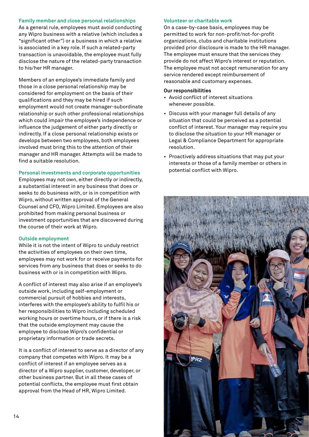#### **Family member and close personal relationships**

As a general rule, employees must avoid conducting any Wipro business with a relative (which includes a "significant other") or a business in which a relative is associated in a key role. If such a related-party transaction is unavoidable, the employee must fully disclose the nature of the related-party transaction to his/her HR manager.

Members of an employee's immediate family and those in a close personal relationship may be considered for employment on the basis of their qualifications and they may be hired if such employment would not create manager-subordinate relationship or such other professional relationships which could impair the employee's independence or influence the judgement of either party directly or indirectly. If a close personal relationship exists or develops between two employees, both employees involved must bring this to the attention of their manager and HR manager. Attempts will be made to find a suitable resolution.

## **Personal investments and corporate opportunities**

Employees may not own, either directly or indirectly, a substantial interest in any business that does or seeks to do business with, or is in competition with Wipro, without written approval of the General Counsel and CFO, Wipro Limited. Employees are also prohibited from making personal business or investment opportunities that are discovered during the course of their work at Wipro.

## **Outside employment**

While it is not the intent of Wipro to unduly restrict the activities of employees on their own time, employees may not work for or receive payments for services from any business that does or seeks to do business with or is in competition with Wipro.

A conflict of interest may also arise if an employee's outside work, including self-employment or commercial pursuit of hobbies and interests, interferes with the employee's ability to fulfil his or her responsibilities to Wipro including scheduled working hours or overtime hours, or if there is a risk that the outside employment may cause the employee to disclose Wipro's confidential or proprietary information or trade secrets.

It is a conflict of interest to serve as a director of any company that competes with Wipro. It may be a conflict of interest if an employee serves as a director of a Wipro supplier, customer, developer, or other business partner. But in all these cases of potential conflicts, the employee must first obtain approval from the Head of HR, Wipro Limited.

## **Volunteer or charitable work**

On a case-by-case basis, employees may be permitted to work for non-profit/not-for-profit organizations, clubs and charitable institutions provided prior disclosure is made to the HR manager. The employee must ensure that the services they provide do not affect Wipro's interest or reputation. The employee must not accept remuneration for any service rendered except reimbursement of reasonable and customary expenses.

#### **Our responsibilities**

- Avoid conflict of interest situations whenever possible.
- Discuss with your manager full details of any situation that could be perceived as a potential conflict of interest. Your manager may require you to disclose the situation to your HR manager or Legal & Compliance Department for appropriate resolution.
- Proactively address situations that may put your interests or those of a family member or others in potential conflict with Wipro.

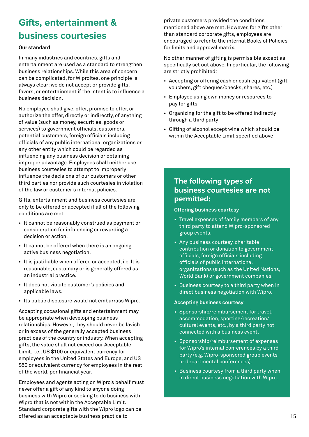# **Gifts, entertainment & business courtesies**

## **Our standard**

In many industries and countries, gifts and entertainment are used as a standard to strengthen business relationships. While this area of concern can be complicated, for Wiproites, one principle is always clear: we do not accept or provide gifts, favors, or entertainment if the intent is to influence a business decision.

No employee shall give, offer, promise to offer, or authorize the offer, directly or indirectly, of anything of value (such as money, securities, goods or services) to government officials, customers, potential customers, foreign officials including officials of any public international organizations or any other entity which could be regarded as influencing any business decision or obtaining improper advantage. Employees shall neither use business courtesies to attempt to improperly influence the decisions of our customers or other third parties nor provide such courtesies in violation of the law or customer's internal policies.

Gifts, entertainment and business courtesies are only to be offered or accepted if all of the following conditions are met:

- It cannot be reasonably construed as payment or consideration for influencing or rewarding a decision or action.
- It cannot be offered when there is an ongoing active business negotiation.
- It is justifiable when offered or accepted, i.e. It is reasonable, customary or is generally offered as an industrial practice.
- It does not violate customer's policies and applicable laws.
- Its public disclosure would not embarrass Wipro.

Accepting occasional gifts and entertainment may be appropriate when developing business relationships. However, they should never be lavish or in excess of the generally accepted business practices of the country or industry. When accepting gifts, the value shall not exceed our Acceptable Limit, i.e.: US \$100 or equivalent currency for employees in the United States and Europe, and US \$50 or equivalent currency for employees in the rest of the world, per financial year.

Employees and agents acting on Wipro's behalf must never offer a gift of any kind to anyone doing business with Wipro or seeking to do business with Wipro that is not within the Acceptable Limit. Standard corporate gifts with the Wipro logo can be offered as an acceptable business practice to

private customers provided the conditions mentioned above are met. However, for gifts other than standard corporate gifts, employees are encouraged to refer to the internal Books of Policies for limits and approval matrix.

No other manner of gifting is permissible except as specifically set out above. In particular, the following are strictly prohibited:

- Accepting or offering cash or cash equivalent (gift vouchers, gift cheques/checks, shares, etc.)
- Employee using own money or resources to pay for gifts
- Organizing for the gift to be offered indirectly through a third party
- Gifting of alcohol except wine which should be within the Acceptable Limit specified above

# **The following types of business courtesies are not permitted:**

#### **Offering business courtesy**

- Travel expenses of family members of any third party to attend Wipro-sponsored group events.
- Any business courtesy, charitable contribution or donation to government officials, foreign officials including officials of public international organizations (such as the United Nations, World Bank) or government companies.
- Business courtesy to a third party when in direct business negotiation with Wipro.

#### **Accepting business courtesy**

- Sponsorship/reimbursement for travel, accommodation, sporting/recreation/ cultural events, etc., by a third party not connected with a business event.
- Sponsorship/reimbursement of expenses for Wipro's internal conferences by a third party (e.g. Wipro-sponsored group events or departmental conferences).
- Business courtesy from a third party when in direct business negotiation with Wipro.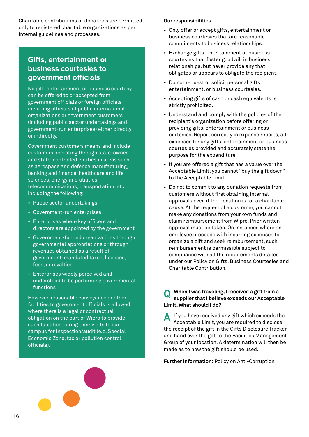Charitable contributions or donations are permitted only to registered charitable organizations as per internal guidelines and processes.

# **Gifts, entertainment or business courtesies to government officials**

No gift, entertainment or business courtesy can be offered to or accepted from government officials or foreign officials including officials of public international organizations or government customers (including public sector undertakings and government-run enterprises) either directly or indirectly.

Government customers means and include customers operating through state-owned and state-controlled entities in areas such as aerospace and defence manufacturing, banking and finance, healthcare and life sciences, energy and utilities, telecommunications, transportation, etc. including the following:

- Public sector undertakings
- Government-run enterprises
- Enterprises where key officers and directors are appointed by the government
- Government-funded organizations through governmental appropriations or through revenues obtained as a result of government-mandated taxes, licenses, fees, or royalties
- Enterprises widely perceived and understood to be performing governmental functions

However, reasonable conveyance or other facilities to government officials is allowed where there is a legal or contractual obligation on the part of Wipro to provide such facilities during their visits to our campus for inspection/audit (e.g. Special Economic Zone, tax or pollution control officials).

#### **Our responsibilities**

- Only offer or accept gifts, entertainment or business courtesies that are reasonable compliments to business relationships.
- Exchange gifts, entertainment or business courtesies that foster goodwill in business relationships, but never provide any that obligates or appears to obligate the recipient.
- Do not request or solicit personal gifts, entertainment, or business courtesies.
- Accepting gifts of cash or cash equivalents is strictly prohibited.
- Understand and comply with the policies of the recipient's organization before offering or providing gifts, entertainment or business ourtesies. Report correctly in expense reports, all expenses for any gifts, entertainment or business courtesies provided and accurately state the purpose for the expenditure.
- If you are offered a gift that has a value over the Acceptable Limit, you cannot "buy the gift down" to the Acceptable Limit.
- Do not to commit to any donation requests from customers without first obtaining internal approvals even if the donation is for a charitable cause. At the request of a customer, you cannot make any donations from your own funds and claim reimbursement from Wipro. Prior written approval must be taken. On instances where an employee proceeds with incurring expenses to organize a gift and seek reimbursement, such reimbursement is permissible subject to compliance with all the requirements detailed under our Policy on Gifts, Business Courtesies and Charitable Contribution.

#### **When I was traveling, I received a gift from a supplier that I believe exceeds our Acceptable Limit. What should I do? Q**

If you have received any gift which exceeds the Acceptable Limit, you are required to disclose the receipt of the gift in the Gifts Disclosure Tracker and hand over the gift to the Facilities Management Group of your location. A determination will then be made as to how the gift should be used. **A**

**Further information:** Policy on Anti-Corruption

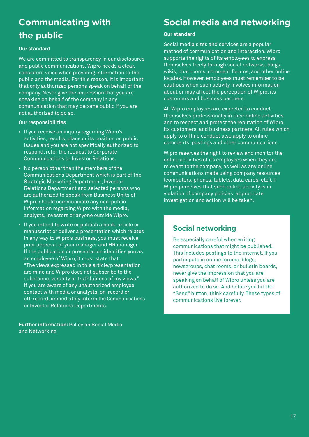# **Communicating with the public**

## **Our standard**

We are committed to transparency in our disclosures and public communications. Wipro needs a clear, consistent voice when providing information to the public and the media. For this reason, it is important that only authorized persons speak on behalf of the company. Never give the impression that you are speaking on behalf of the company in any communication that may become public if you are not authorized to do so.

## **Our responsibilities**

- If you receive an inquiry regarding Wipro's activities, results, plans or its position on public issues and you are not specifically authorized to respond, refer the request to Corporate Communications or Investor Relations.
- No person other than the members of the Communications Department which is part of the Strategic Marketing Department, Investor Relations Department and selected persons who are authorized to speak from Business Units of Wipro should communicate any non-public information regarding Wipro with the media, analysts, investors or anyone outside Wipro.
- If you intend to write or publish a book, article or manuscript or deliver a presentation which relates in any way to Wipro's business, you must receive prior approval of your manager and HR manager. If the publication or presentation identifies you as an employee of Wipro, it must state that: "The views expressed in this article/presentation are mine and Wipro does not subscribe to the substance, veracity or truthfulness of my views." If you are aware of any unauthorized employee contact with media or analysts, on-record or off-record, immediately inform the Communications or Investor Relations Departments.

**Further information:** Policy on Social Media and Networking

# **Social media and networking**

## **Our standard**

Social media sites and services are a popular method of communication and interaction. Wipro supports the rights of its employees to express themselves freely through social networks, blogs, wikis, chat rooms, comment forums, and other online locales. However, employees must remember to be cautious when such activity involves information about or may affect the perception of Wipro, its customers and business partners.

All Wipro employees are expected to conduct themselves professionally in their online activities and to respect and protect the reputation of Wipro, its customers, and business partners. All rules which apply to offline conduct also apply to online comments, postings and other communications.

Wipro reserves the right to review and monitor the online activities of its employees when they are relevant to the company, as well as any online communications made using company resources (computers, phones, tablets, data cards, etc.). If Wipro perceives that such online activity is in violation of company policies, appropriate investigation and action will be taken.

# **Social networking**

Be especially careful when writing communications that might be published. This includes postings to the internet. If you participate in online forums, blogs, newsgroups, chat rooms, or bulletin boards, never give the impression that you are speaking on behalf of Wipro unless you are authorized to do so. And before you hit the "Send" button, think carefully. These types of communications live forever.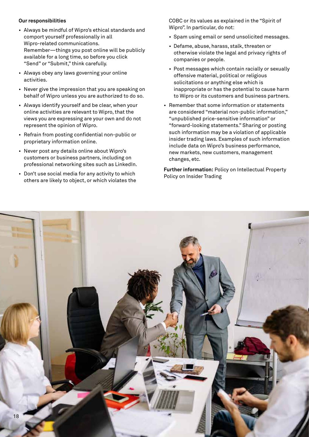#### **Our responsibilities**

- Always be mindful of Wipro's ethical standards and comport yourself professionally in all Wipro-related communications. Remember—things you post online will be publicly available for a long time, so before you click "Send" or "Submit," think carefully.
- Always obey any laws governing your online activities.
- Never give the impression that you are speaking on behalf of Wipro unless you are authorized to do so.
- Always identify yourself and be clear, when your online activities are relevant to Wipro, that the views you are expressing are your own and do not represent the opinion of Wipro.
- Refrain from posting confidential non-public or proprietary information online.
- Never post any details online about Wipro's customers or business partners, including on professional networking sites such as LinkedIn.
- Don't use social media for any activity to which others are likely to object, or which violates the

 COBC or its values as explained in the "Spirit of Wipro". In particular, do not:

- Spam using email or send unsolicited messages.
- Defame, abuse, harass, stalk, threaten or otherwise violate the legal and privacy rights of companies or people.
- Post messages which contain racially or sexually offensive material, political or religious solicitations or anything else which is inappropriate or has the potential to cause harm to Wipro or its customers and business partners.
- Remember that some information or statements are considered "material non-public information," "unpublished price-sensitive information" or "forward-looking statements." Sharing or posting such information may be a violation of applicable insider trading laws. Examples of such information include data on Wipro's business performance, new markets, new customers, management changes, etc.

**Further information:** Policy on Intellectual Property Policy on Insider Trading

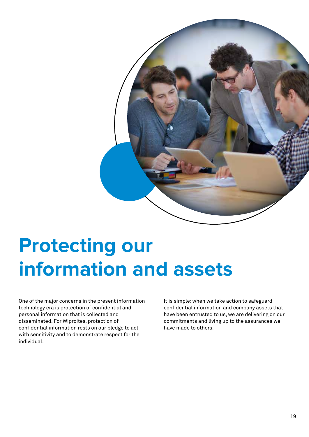

# **Protecting our information and assets**

One of the major concerns in the present information technology era is protection of confidential and personal information that is collected and disseminated. For Wiproites, protection of confidential information rests on our pledge to act with sensitivity and to demonstrate respect for the individual.

It is simple: when we take action to safeguard confidential information and company assets that have been entrusted to us, we are delivering on our commitments and living up to the assurances we have made to others.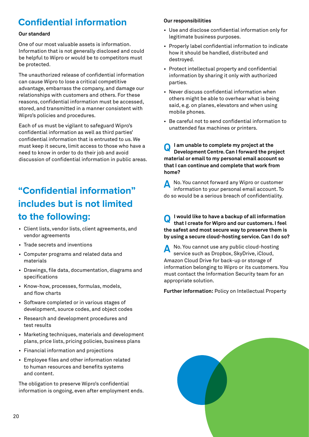# **Confidential information**

## **Our standard**

One of our most valuable assets is information. Information that is not generally disclosed and could be helpful to Wipro or would be to competitors must be protected.

The unauthorized release of confidential information can cause Wipro to lose a critical competitive advantage, embarrass the company, and damage our relationships with customers and others. For these reasons, confidential information must be accessed, stored, and transmitted in a manner consistent with Wipro's policies and procedures.

Each of us must be vigilant to safeguard Wipro's confidential information as well as third parties' confidential information that is entrusted to us. We must keep it secure, limit access to those who have a need to know in order to do their job and avoid discussion of confidential information in public areas.

# **"Confidential information" includes but is not limited to the following:**

- Client lists, vendor lists, client agreements, and vendor agreements
- Trade secrets and inventions
- Computer programs and related data and materials
- Drawings, file data, documentation, diagrams and specifications
- Know-how, processes, formulas, models, and flow charts
- Software completed or in various stages of development, source codes, and object codes
- Research and development procedures and test results
- Marketing techniques, materials and development plans, price lists, pricing policies, business plans
- Financial information and projections
- Employee files and other information related to human resources and benefits systems and content.

The obligation to preserve Wipro's confidential information is ongoing, even after employment ends.

## **Our responsibilities**

- Use and disclose confidential information only for legitimate business purposes.
- Properly label confidential information to indicate how it should be handled, distributed and destroyed.
- Protect intellectual property and confidential information by sharing it only with authorized parties.
- Never discuss confidential information when others might be able to overhear what is being said, e.g. on planes, elevators and when using mobile phones.
- Be careful not to send confidential information to unattended fax machines or printers.

**I am unable to complete my project at the Development Centre. Can I forward the project material or email to my personal email account so that I can continue and complete that work from home? Q**

No. You cannot forward any Wipro or customer information to your personal email account. To do so would be a serious breach of confidentiality. **A**

**I would like to have a backup of all information that I create for Wipro and our customers. I feel the safest and most secure way to preserve them is by using a secure cloud-hosting service. Can I do so? Q**

No. You cannot use any public cloud-hosting service such as Dropbox, SkyDrive, iCloud, Amazon Cloud Drive for back-up or storage of information belonging to Wipro or its customers. You must contact the Information Security team for an appropriate solution. **A**

**Further information:** Policy on Intellectual Property

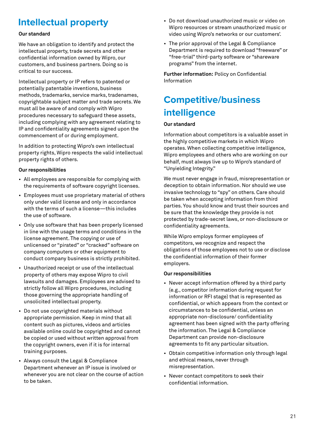# **Intellectual property**

## **Our standard**

We have an obligation to identify and protect the intellectual property, trade secrets and other confidential information owned by Wipro, our customers, and business partners. Doing so is critical to our success.

Intellectual property or IP refers to patented or potentially patentable inventions, business methods, trademarks, service marks, tradenames, copyrightable subject matter and trade secrets. We must all be aware of and comply with Wipro procedures necessary to safeguard these assets, including complying with any agreement relating to IP and confidentiality agreements signed upon the commencement of or during employment.

In addition to protecting Wipro's own intellectual property rights, Wipro respects the valid intellectual property rights of others.

## **Our responsibilities**

- All employees are responsible for complying with the requirements of software copyright licenses.
- Employees must use proprietary material of others only under valid license and only in accordance with the terms of such a license—this includes the use of software.
- Only use software that has been properly licensed in line with the usage terms and conditions in the license agreement. The copying or use of unlicensed or "pirated" or "cracked" software on company computers or other equipment to conduct company business is strictly prohibited.
- Unauthorized receipt or use of the intellectual property of others may expose Wipro to civil lawsuits and damages. Employees are advised to strictly follow all Wipro procedures, including those governing the appropriate handling of unsolicited intellectual property.
- Do not use copyrighted materials without appropriate permission. Keep in mind that all content such as pictures, videos and articles available online could be copyrighted and cannot be copied or used without written approval from the copyright owners, even if it is for internal training purposes.
- Always consult the Legal & Compliance Department whenever an IP issue is involved or whenever you are not clear on the course of action to be taken.
- Do not download unauthorized music or video on Wipro resources or stream unauthorized music or video using Wipro's networks or our customers'.
- The prior approval of the Legal & Compliance Department is required to download "freeware" or "free-trial" third-party software or "shareware programs" from the internet.

**Further information:** Policy on Confidential Information

# **Competitive/business intelligence**

# **Our standard**

Information about competitors is a valuable asset in the highly competitive markets in which Wipro operates. When collecting competitive intelligence, Wipro employees and others who are working on our behalf, must always live up to Wipro's standard of "Unyielding Integrity."

We must never engage in fraud, misrepresentation or deception to obtain information. Nor should we use invasive technology to "spy" on others. Care should be taken when accepting information from third parties. You should know and trust their sources and be sure that the knowledge they provide is not protected by trade-secret laws, or non-disclosure or confidentiality agreements.

While Wipro employs former employees of competitors, we recognize and respect the obligations of those employees not to use or disclose the confidential information of their former employers.

# **Our responsibilities**

- Never accept information offered by a third party (e.g., competitor information during request for information or RFI stage) that is represented as confidential, or which appears from the context or circumstances to be confidential, unless an appropriate non-disclosure/ confidentiality agreement has been signed with the party offering the information. The Legal & Compliance Department can provide non-disclosure agreements to fit any particular situation.
- Obtain competitive information only through legal and ethical means, never through misrepresentation.
- Never contact competitors to seek their confidential information.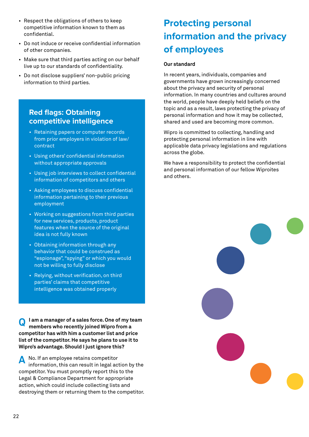- Respect the obligations of others to keep competitive information known to them as confidential.
- Do not induce or receive confidential information of other companies.
- Make sure that third parties acting on our behalf live up to our standards of confidentiality.
- Do not disclose suppliers' non-public pricing information to third parties.

# **Red flags: Obtaining competitive intelligence**

- Retaining papers or computer records from prior employers in violation of law/ contract
- Using others' confidential information without appropriate approvals
- Using job interviews to collect confidential information of competitors and others
- Asking employees to discuss confidential information pertaining to their previous employment
- Working on suggestions from third parties for new services, products, product features when the source of the original idea is not fully known
- Obtaining information through any behavior that could be construed as "espionage", "spying" or which you would not be willing to fully disclose
- Relying, without verification, on third parties' claims that competitive intelligence was obtained properly

**I am a manager of a sales force. One of my team members who recently joined Wipro from a competitor has with him a customer list and price list of the competitor. He says he plans to use it to Wipro's advantage. Should I just ignore this? Q**

No. If an employee retains competitor information, this can result in legal action by the competitor. You must promptly report this to the Legal & Compliance Department for appropriate action, which could include collecting lists and destroying them or returning them to the competitor. **A**

# **Protecting personal information and the privacy of employees**

## **Our standard**

In recent years, individuals, companies and governments have grown increasingly concerned about the privacy and security of personal information. In many countries and cultures around the world, people have deeply held beliefs on the topic and as a result, laws protecting the privacy of personal information and how it may be collected, shared and used are becoming more common.

Wipro is committed to collecting, handling and protecting personal information in line with applicable data privacy legislations and regulations across the globe.

We have a responsibility to protect the confidential and personal information of our fellow Wiproites and others.

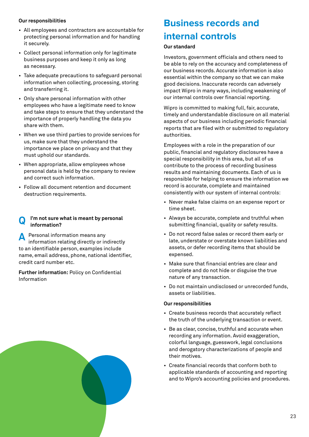## **Our responsibilities**

- All employees and contractors are accountable for protecting personal information and for handling it securely.
- Collect personal information only for legitimate business purposes and keep it only as long as necessary.
- Take adequate precautions to safeguard personal information when collecting, processing, storing and transferring it.
- Only share personal information with other employees who have a legitimate need to know and take steps to ensure that they understand the importance of properly handling the data you share with them.
- When we use third parties to provide services for us, make sure that they understand the importance we place on privacy and that they must uphold our standards.
- When appropriate, allow employees whose personal data is held by the company to review and correct such information.
- Follow all document retention and document destruction requirements.

# **I'm not sure what is meant by personal Q information?**

Personal information means any information relating directly or indirectly to an identifiable person, examples include name, email address, phone, national identifier, credit card number etc. **A**

**Further information:** Policy on Confidential Information

# **Business records and internal controls**

#### **Our standard**

Investors, government officials and others need to be able to rely on the accuracy and completeness of our business records. Accurate information is also essential within the company so that we can make good decisions. Inaccurate records can adversely impact Wipro in many ways, including weakening of our internal controls over financial reporting.

Wipro is committed to making full, fair, accurate, timely and understandable disclosure on all material aspects of our business including periodic financial reports that are filed with or submitted to regulatory authorities.

Employees with a role in the preparation of our public, financial and regulatory disclosures have a special responsibility in this area, but all of us contribute to the process of recording business results and maintaining documents. Each of us is responsible for helping to ensure the information we record is accurate, complete and maintained consistently with our system of internal controls:

- Never make false claims on an expense report or time sheet.
- Always be accurate, complete and truthful when submitting financial, quality or safety results.
- Do not record false sales or record them early or late, understate or overstate known liabilities and assets, or defer recording items that should be expensed.
- Make sure that financial entries are clear and complete and do not hide or disguise the true nature of any transaction.
- Do not maintain undisclosed or unrecorded funds, assets or liabilities.

#### **Our responsibilities**

- Create business records that accurately reflect the truth of the underlying transaction or event.
- Be as clear, concise, truthful and accurate when recording any information. Avoid exaggeration, colorful language, guesswork, legal conclusions and derogatory characterizations of people and their motives.
- Create financial records that conform both to applicable standards of accounting and reporting and to Wipro's accounting policies and procedures.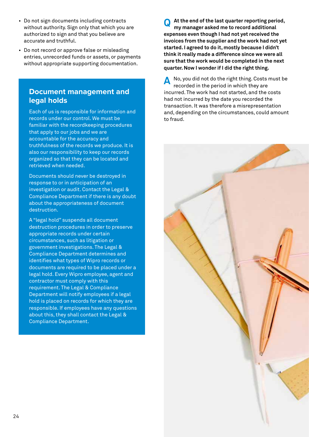- Do not sign documents including contracts without authority. Sign only that which you are authorized to sign and that you believe are accurate and truthful.
- Do not record or approve false or misleading entries, unrecorded funds or assets, or payments without appropriate supporting documentation.

# **Document management and legal holds**

Each of us is responsible for information and records under our control. We must be familiar with the recordkeeping procedures that apply to our jobs and we are accountable for the accuracy and truthfulness of the records we produce. It is also our responsibility to keep our records organized so that they can be located and retrieved when needed.

Documents should never be destroyed in response to or in anticipation of an investigation or audit. Contact the Legal & Compliance Department if there is any doubt about the appropriateness of document destruction.

A "legal hold" suspends all document destruction procedures in order to preserve appropriate records under certain circumstances, such as litigation or government investigations. The Legal & Compliance Department determines and identifies what types of Wipro records or documents are required to be placed under a legal hold. Every Wipro employee, agent and contractor must comply with this requirement. The Legal & Compliance Department will notify employees if a legal hold is placed on records for which they are responsible. If employees have any questions about this, they shall contact the Legal & Compliance Department.

**At the end of the last quarter reporting period, my manager asked me to record additional expenses even though I had not yet received the invoices from the supplier and the work had not yet started. I agreed to do it, mostly because I didn't think it really made a difference since we were all sure that the work would be completed in the next quarter. Now I wonder if I did the right thing. Q**

No, you did not do the right thing. Costs must be recorded in the period in which they are incurred. The work had not started, and the costs had not incurred by the date you recorded the transaction. It was therefore a misrepresentation and, depending on the circumstances, could amount to fraud. **A**

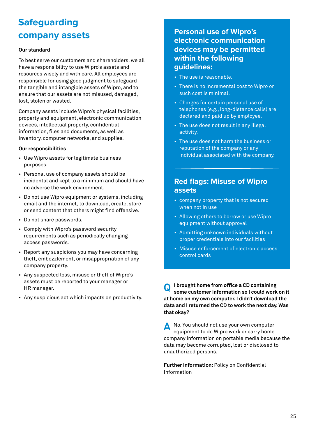# **Safeguarding company assets**

## **Our standard**

To best serve our customers and shareholders, we all have a responsibility to use Wipro's assets and resources wisely and with care. All employees are responsible for using good judgment to safeguard the tangible and intangible assets of Wipro, and to ensure that our assets are not misused, damaged, lost, stolen or wasted.

Company assets include Wipro's physical facilities, property and equipment, electronic communication devices, intellectual property, confidential information, files and documents, as well as inventory, computer networks, and supplies.

## **Our responsibilities**

- Use Wipro assets for legitimate business purposes.
- Personal use of company assets should be incidental and kept to a minimum and should have no adverse the work environment.
- Do not use Wipro equipment or systems, including email and the internet, to download, create, store or send content that others might find offensive.
- Do not share passwords.
- Comply with Wipro's password security requirements such as periodically changing access passwords.
- Report any suspicions you may have concerning theft, embezzlement, or misappropriation of any company property.
- Any suspected loss, misuse or theft of Wipro's assets must be reported to your manager or HR manager.
- Any suspicious act which impacts on productivity.

# **Personal use of Wipro's electronic communication devices may be permitted within the following guidelines:**

- The use is reasonable.
- There is no incremental cost to Wipro or such cost is minimal.
- Charges for certain personal use of telephones (e.g., long-distance calls) are declared and paid up by employee.
- The use does not result in any illegal activity.
- The use does not harm the business or reputation of the company or any individual associated with the company.

# **Red flags: Misuse of Wipro assets**

- company property that is not secured when not in use
- Allowing others to borrow or use Wipro equipment without approval
- Admitting unknown individuals without proper credentials into our facilities
- Misuse enforcement of electronic access control cards

**I brought home from office a CD containing some customer information so I could work on it at home on my own computer. I didn't download the data and I returned the CD to work the next day. Was that okay? Q**

No. You should not use your own computer equipment to do Wipro work or carry home company information on portable media because the data may become corrupted, lost or disclosed to unauthorized persons. **A**

**Further information:** Policy on Confidential Information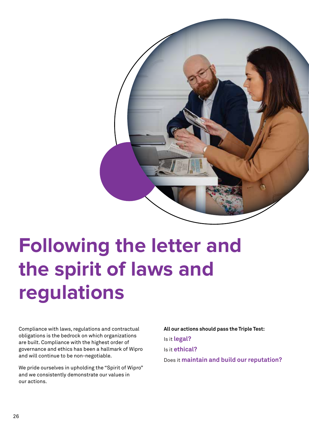

# **Following the letter and the spirit of laws and regulations**

Compliance with laws, regulations and contractual obligations is the bedrock on which organizations are built. Compliance with the highest order of governance and ethics has been a hallmark of Wipro and will continue to be non-negotiable.

We pride ourselves in upholding the "Spirit of Wipro" and we consistently demonstrate our values in our actions.

**All our actions should pass the Triple Test:** Is it **legal?** Is it **ethical?** Does it **maintain and build our reputation?**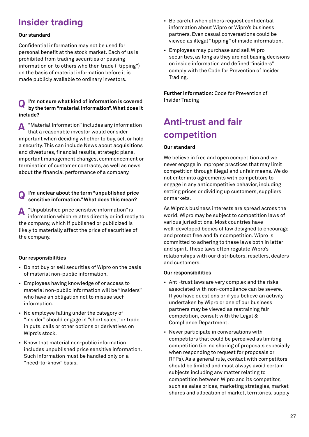# **Insider trading**

## **Our standard**

Confidential information may not be used for personal benefit at the stock market. Each of us is prohibited from trading securities or passing information on to others who then trade ("tipping") on the basis of material information before it is made publicly available to ordinary investors.

#### **I'm not sure what kind of information is covered** lists insider Trading **by the term "material Information". What does it include? Q**

"Material Information" includes any information that a reasonable investor would consider important when deciding whether to buy, sell or hold a security. This can include News about acquisitions and divestures, financial results, strategic plans, important management changes, commencement or termination of customer contracts, as well as news about the financial performance of a company. **A**

# **I'm unclear about the term "unpublished price Q sensitive information." What does this mean?**

"Unpublished price sensitive information" is information which relates directly or indirectly to the company, which if published or publicized is likely to materially affect the price of securities of the company. **A**

## **Our responsibilities**

- Do not buy or sell securities of Wipro on the basis of material non-public information.
- Employees having knowledge of or access to material non-public information will be "insiders" who have an obligation not to misuse such information.
- No employee falling under the category of "insider" should engage in "short sales," or trade in puts, calls or other options or derivatives on Wipro's stock.
- Know that material non-public information includes unpublished price sensitive information. Such information must be handled only on a "need-to-know" basis.
- Be careful when others request confidential information about Wipro or Wipro's business partners. Even casual conversations could be viewed as illegal "tipping" of inside information.
- Employees may purchase and sell Wipro securities, as long as they are not basing decisions on inside information and defined "insiders" comply with the Code for Prevention of Insider Trading.

**Further information:** Code for Prevention of

# **Anti-trust and fair competition**

## **Our standard**

We believe in free and open competition and we never engage in improper practices that may limit competition through illegal and unfair means. We do not enter into agreements with competitors to engage in any anticompetitive behavior, including setting prices or dividing up customers, suppliers or markets.

As Wipro's business interests are spread across the world, Wipro may be subject to competition laws of various jurisdictions. Most countries have well-developed bodies of law designed to encourage and protect free and fair competition. Wipro is committed to adhering to these laws both in letter and spirit. These laws often regulate Wipro's relationships with our distributors, resellers, dealers and customers.

## **Our responsibilities**

- Anti-trust laws are very complex and the risks associated with non-compliance can be severe. If you have questions or if you believe an activity undertaken by Wipro or one of our business partners may be viewed as restraining fair competition, consult with the Legal & Compliance Department.
- Never participate in conversations with competitors that could be perceived as limiting competition (i.e. no sharing of proposals especially when responding to request for proposals or RFPs). As a general rule, contact with competitors should be limited and must always avoid certain subjects including any matter relating to competition between Wipro and its competitor, such as sales prices, marketing strategies, market shares and allocation of market, territories, supply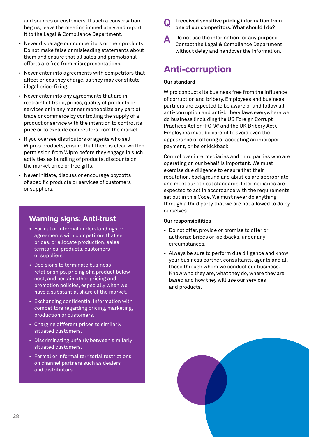and sources or customers. If such a conversation begins, leave the meeting immediately and report it to the Legal & Compliance Department.

- Never disparage our competitors or their products. Do not make false or misleading statements about them and ensure that all sales and promotional efforts are free from misrepresentations.
- Never enter into agreements with competitors that affect prices they charge, as they may constitute illegal price-fixing.
- Never enter into any agreements that are in restraint of trade, prices, quality of products or services or in any manner monopolize any part of trade or commerce by controlling the supply of a product or service with the intention to control its price or to exclude competitors from the market.
- If you oversee distributors or agents who sell Wipro's products, ensure that there is clear written permission from Wipro before they engage in such activities as bundling of products, discounts on the market price or free gifts.
- Never initiate, discuss or encourage boycotts of specific products or services of customers or suppliers.

# **Warning signs: Anti-trust**

- Formal or informal understandings or agreements with competitors that set prices, or allocate production, sales territories, products, customers or suppliers.
- Decisions to terminate business relationships, pricing of a product below cost, and certain other pricing and promotion policies, especially when we have a substantial share of the market.
- Exchanging confidential information with competitors regarding pricing, marketing, production or customers.
- Charging different prices to similarly situated customers.
- Discriminating unfairly between similarly situated customers.
- Formal or informal territorial restrictions on channel partners such as dealers and distributors.
- **I received sensitive pricing information from Q one of our competitors. What should I do?**
- Do not use the information for any purpose. Contact the Legal & Compliance Department without delay and handover the information. **A**

# **Anti-corruption**

## **Our standard**

Wipro conducts its business free from the influence of corruption and bribery. Employees and business partners are expected to be aware of and follow all anti-corruption and anti-bribery laws everywhere we do business (including the US Foreign Corrupt Practices Act or "FCPA" and the UK Bribery Act). Employees must be careful to avoid even the appearance of offering or accepting an improper payment, bribe or kickback.

Control over intermediaries and third parties who are operating on our behalf is important. We must exercise due diligence to ensure that their reputation, background and abilities are appropriate and meet our ethical standards. Intermediaries are expected to act in accordance with the requirements set out in this Code. We must never do anything through a third party that we are not allowed to do by ourselves.

## **Our responsibilities**

- Do not offer, provide or promise to offer or authorize bribes or kickbacks, under any circumstances.
- Always be sure to perform due diligence and know your business partner, consultants, agents and all those through whom we conduct our business. Know who they are, what they do, where they are based and how they will use our services and products.

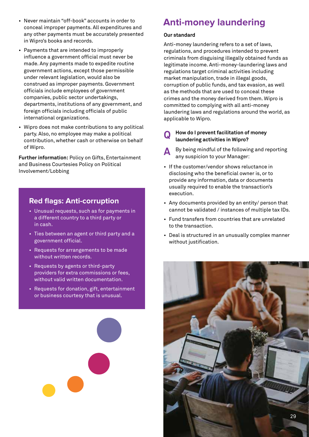- Never maintain "off-book" accounts in order to conceal improper payments. All expenditures and any other payments must be accurately presented in Wipro's books and records.
- Payments that are intended to improperly influence a government official must never be made. Any payments made to expedite routine government actions, except those permissible under relevant legislation, would also be construed as improper payments. Government officials include employees of government companies, public sector undertakings, departments, institutions of any government, and foreign officials including officials of public international organizations.
- Wipro does not make contributions to any political party. Also, no employee may make a political contribution, whether cash or otherwise on behalf of Wipro.

**Further information:** Policy on Gifts, Entertainment and Business Courtesies Policy on Political Involvement/Lobbing

# **Red flags: Anti-corruption**

- Unusual requests, such as for payments in a different country to a third party or in cash.
- Ties between an agent or third party and a government official.
- Requests for arrangements to be made without written records.
- Requests by agents or third-party providers for extra commissions or fees, without valid written documentation.
- Requests for donation, gift, entertainment or business courtesy that is unusual.



# **Anti-money laundering**

## **Our standard**

Anti-money laundering refers to a set of laws, regulations, and procedures intended to prevent criminals from disguising illegally obtained funds as legitimate income. Anti-money-laundering laws and regulations target criminal activities including market manipulation, trade in illegal goods, corruption of public funds, and tax evasion, as well as the methods that are used to conceal these crimes and the money derived from them. Wipro is committed to complying with all anti-money laundering laws and regulations around the world, as applicable to Wipro.

# **How do I prevent facilitation of money Q laundering activities in Wipro?**

- A By being mindful of the following and reporting<br>any suspicion to your Manager:
- If the customer/vendor shows reluctance in disclosing who the beneficial owner is, or to provide any information, data or documents usually required to enable the transaction's execution.
- Any documents provided by an entity/ person that cannot be validated / instances of multiple tax IDs.
- Fund transfers from countries that are unrelated to the transaction.
- Deal is structured in an unusually complex manner without justification.

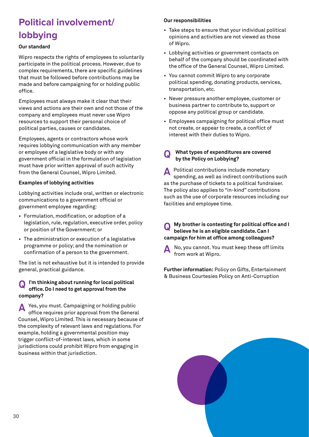# **Political involvement/ lobbying**

## **Our standard**

Wipro respects the rights of employees to voluntarily participate in the political process. However, due to complex requirements, there are specific guidelines that must be followed before contributions may be made and before campaigning for or holding public office.

Employees must always make it clear that their views and actions are their own and not those of the company and employees must never use Wipro resources to support their personal choice of political parties, causes or candidates.

Employees, agents or contractors whose work requires lobbying communication with any member or employee of a legislative body or with any government official in the formulation of legislation must have prior written approval of such activity from the General Counsel, Wipro Limited.

## **Examples of lobbying activities**

Lobbying activities include oral, written or electronic communications to a government official or government employee regarding:

- Formulation, modification, or adoption of a legislation, rule, regulation, executive order, policy or position of the Government; or
- The administration or execution of a legislative programme or policy; and the nomination or confirmation of a person to the government.

The list is not exhaustive but it is intended to provide general, practical guidance.

#### **I'm thinking about running for local political office. Do I need to get approval from the company? Q**

Yes, you must. Campaigning or holding public office requires prior approval from the General Counsel, Wipro Limited. This is necessary because of the complexity of relevant laws and regulations. For example, holding a governmental position may trigger conflict-of-interest laws, which in some jurisdictions could prohibit Wipro from engaging in business within that jurisdiction. **A**

## **Our responsibilities**

- Take steps to ensure that your individual political opinions and activities are not viewed as those of Wipro.
- Lobbying activities or government contacts on behalf of the company should be coordinated with the office of the General Counsel, Wipro Limited.
- You cannot commit Wipro to any corporate political spending, donating products, services, transportation, etc.
- Never pressure another employee, customer or business partner to contribute to, support or oppose any political group or candidate.
- Employees campaigning for political office must not create, or appear to create, a conflict of interest with their duties to Wipro.
- **What types of expenditures are covered Q by the Policy on Lobbying?**

Political contributions include monetary spending, as well as indirect contributions such as the purchase of tickets to a political fundraiser. The policy also applies to "in-kind" contributions such as the use of corporate resources including our facilities and employee time. **A**

**My brother is contesting for political office and I believe he is an eligible candidate. Can I campaign for him at office among colleagues? Q**

No, you cannot. You must keep these off limits from work at Wipro. **A**

**Further information:** Policy on Gifts, Entertainment & Business Courtesies Policy on Anti-Corruption

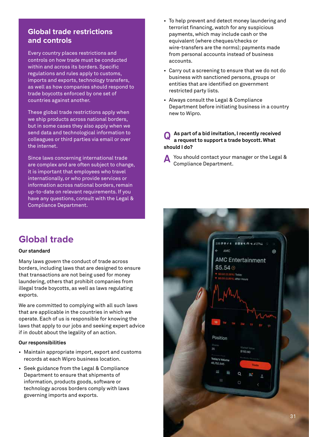# **Global trade restrictions and controls**

Every country places restrictions and controls on how trade must be conducted within and across its borders. Specific regulations and rules apply to customs, imports and exports, technology transfers, as well as how companies should respond to trade boycotts enforced by one set of countries against another.

These global trade restrictions apply when we ship products across national borders, but in some cases they also apply when we send data and technological information to colleagues or third parties via email or over the internet.

Since laws concerning international trade are complex and are often subject to change, it is important that employees who travel internationally, or who provide services or information across national borders, remain up-to-date on relevant requirements. If you have any questions, consult with the Legal & Compliance Department.

**Global trade**

#### **Our standard**

Many laws govern the conduct of trade across borders, including laws that are designed to ensure that transactions are not being used for money laundering, others that prohibit companies from illegal trade boycotts, as well as laws regulating exports.

We are committed to complying with all such laws that are applicable in the countries in which we operate. Each of us is responsible for knowing the laws that apply to our jobs and seeking expert advice if in doubt about the legality of an action.

#### **Our responsibilities**

- Maintain appropriate import, export and customs records at each Wipro business location.
- Seek guidance from the Legal & Compliance Department to ensure that shipments of information, products goods, software or technology across borders comply with laws governing imports and exports.
- To help prevent and detect money laundering and terrorist financing, watch for any suspicious payments, which may include cash or the equivalent (where cheques/checks or wire-transfers are the norms); payments made from personal accounts instead of business accounts.
- Carry out a screening to ensure that we do not do business with sanctioned persons, groups or entities that are identified on government restricted party lists.
- Always consult the Legal & Compliance Department before initiating business in a country new to Wipro.

#### **As part of a bid invitation, I recently received a request to support a trade boycott. What should I do? Q**

You should contact your manager or the Legal & **A** Compliance Department.

| 2558044<br><b>DUES A SAZILE</b><br>$\sim$            |  |
|------------------------------------------------------|--|
| AMC<br>ı<br>$\odot$                                  |  |
| <b>AMC Entertainment</b>                             |  |
| \$5.54@                                              |  |
| * 50.02 (0.36%) Today<br>* 50.06 (0.89%) After-Hours |  |
|                                                      |  |
|                                                      |  |
|                                                      |  |
|                                                      |  |
|                                                      |  |
| 10<br>TΨ<br>114<br>зW                                |  |
|                                                      |  |
| Position                                             |  |
| Shahes<br>Martiet Volue                              |  |
| 35<br>\$193.90<br>×                                  |  |
| Today's Volume                                       |  |
| 46,752,645<br>Trade                                  |  |
| 蔼<br>冊<br>$\alpha$<br>B.                             |  |
| $\rm H$<br>Ö                                         |  |
|                                                      |  |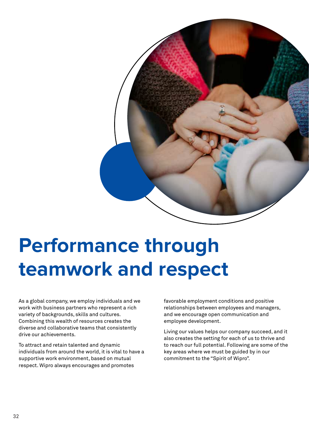

# **Performance through teamwork and respect**

As a global company, we employ individuals and we work with business partners who represent a rich variety of backgrounds, skills and cultures. Combining this wealth of resources creates the diverse and collaborative teams that consistently drive our achievements.

To attract and retain talented and dynamic individuals from around the world, it is vital to have a supportive work environment, based on mutual respect. Wipro always encourages and promotes

favorable employment conditions and positive relationships between employees and managers, and we encourage open communication and employee development.

Living our values helps our company succeed, and it also creates the setting for each of us to thrive and to reach our full potential. Following are some of the key areas where we must be guided by in our commitment to the "Spirit of Wipro".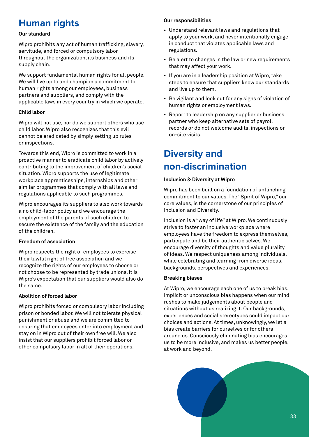# **Human rights**

## **Our standard**

Wipro prohibits any act of human trafficking, slavery, servitude, and forced or compulsory labor throughout the organization, its business and its supply chain.

We support fundamental human rights for all people. We will live up to and champion a commitment to human rights among our employees, business partners and suppliers, and comply with the applicable laws in every country in which we operate.

## **Child labor**

Wipro will not use, nor do we support others who use child labor. Wipro also recognizes that this evil cannot be eradicated by simply setting up rules or inspections.

Towards this end, Wipro is committed to work in a proactive manner to eradicate child labor by actively contributing to the improvement of children's social situation. Wipro supports the use of legitimate workplace apprenticeships, internships and other similar programmes that comply with all laws and regulations applicable to such programmes.

Wipro encourages its suppliers to also work towards a no child-labor policy and we encourage the employment of the parents of such children to secure the existence of the family and the education of the children.

## **Freedom of association**

Wipro respects the right of employees to exercise their lawful right of free association and we recognize the rights of our employees to choose or not choose to be represented by trade unions. It is Wipro's expectation that our suppliers would also do the same.

## **Abolition of forced labor**

Wipro prohibits forced or compulsory labor including prison or bonded labor. We will not tolerate physical punishment or abuse and we are committed to ensuring that employees enter into employment and stay on in Wipro out of their own free will. We also insist that our suppliers prohibit forced labor or other compulsory labor in all of their operations.

## **Our responsibilities**

- Understand relevant laws and regulations that apply to your work, and never intentionally engage in conduct that violates applicable laws and regulations.
- Be alert to changes in the law or new requirements that may affect your work.
- If you are in a leadership position at Wipro, take steps to ensure that suppliers know our standards and live up to them.
- Be vigilant and look out for any signs of violation of human rights or employment laws.
- Report to leadership on any supplier or business partner who keep alternative sets of payroll records or do not welcome audits, inspections or on-site visits.

# **Diversity and non-discrimination**

# **Inclusion & Diversity at Wipro**

Wipro has been built on a foundation of unflinching commitment to our values. The "Spirit of Wipro," our core values, is the cornerstone of our principles of Inclusion and Diversity.

Inclusion is a "way of life" at Wipro. We continuously strive to foster an inclusive workplace where employees have the freedom to express themselves, participate and be their authentic selves. We encourage diversity of thoughts and value plurality of ideas. We respect uniqueness among individuals, while celebrating and learning from diverse ideas, backgrounds, perspectives and experiences.

# **Breaking biases**

At Wipro, we encourage each one of us to break bias. Implicit or unconscious bias happens when our mind rushes to make judgements about people and situations without us realizing it. Our backgrounds, experiences and social stereotypes could impact our choices and actions. At times, unknowingly, we let a bias create barriers for ourselves or for others around us. Consciously eliminating bias encourages us to be more inclusive, and makes us better people, at work and beyond.

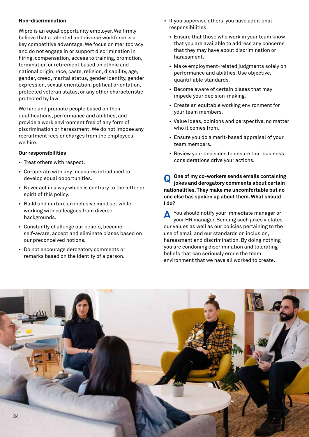## **Non-discrimination**

Wipro is an equal opportunity employer. We firmly believe that a talented and diverse workforce is a key competitive advantage. We focus on meritocracy and do not engage in or support discrimination in hiring, compensation, access to training, promotion, termination or retirement based on ethnic and national origin, race, caste, religion, disability, age, gender, creed, marital status, gender identity, gender expression, sexual orientation, political orientation, protected veteran status, or any other characteristic protected by law.

We hire and promote people based on their qualifications, performance and abilities, and provide a work environment free of any form of discrimination or harassment. We do not impose any recruitment fees or charges from the employees we hire.

#### **Our responsibilities**

- Treat others with respect.
- Co-operate with any measures introduced to develop equal opportunities.
- Never act in a way which is contrary to the letter or spirit of this policy.
- Build and nurture an inclusive mind set while working with colleagues from diverse backgrounds.
- Constantly challenge our beliefs, become self-aware, accept and eliminate biases based on our preconceived notions.
- Do not encourage derogatory comments or remarks based on the identity of a person.
- If you supervise others, you have additional responsibilities:
	- Ensure that those who work in your team know that you are available to address any concerns that they may have about discrimination or harassment.
	- Make employment-related judgments solely on performance and abilities. Use objective, quantifiable standards.
	- Become aware of certain biases that may impede your decision-making.
	- Create an equitable working environment for your team members.
	- Value ideas, opinions and perspective, no matter who it comes from.
	- Ensure you do a merit-based appraisal of your team members.
	- Review your decisions to ensure that business considerations drive your actions.

**One of my co-workers sends emails containing jokes and derogatory comments about certain nationalities. They make me uncomfortable but no one else has spoken up about them. What should I do? Q**

**A** You should notify your immediate manager or<br>your HB manager Sending such inkes violates your HR manager. Sending such jokes violates our values as well as our policies pertaining to the use of email and our standards on inclusion, harassment and discrimination. By doing nothing you are condoning discrimination and tolerating beliefs that can seriously erode the team environment that we have all worked to create.

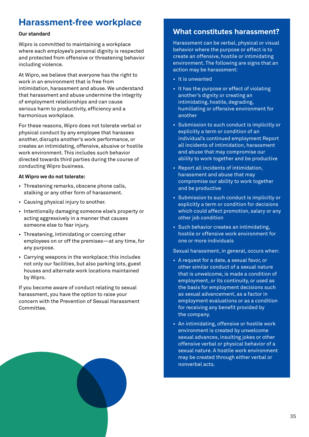# **Harassment-free workplace**

## **Our standard**

Wipro is committed to maintaining a workplace where each employee's personal dignity is respected and protected from offensive or threatening behavior including violence.

At Wipro, we believe that everyone has the right to work in an environment that is free from intimidation, harassment and abuse. We understand that harassment and abuse undermine the integrity of employment relationships and can cause serious harm to productivity, efficiency and a harmonious workplace.

For these reasons, Wipro does not tolerate verbal or physical conduct by any employee that harasses another, disrupts another's work performance, or creates an intimidating, offensive, abusive or hostile work environment. This includes such behavior directed towards third parties during the course of conducting Wipro business.

## **At Wipro we do not tolerate:**

- Threatening remarks, obscene phone calls, stalking or any other form of harassment.
- Causing physical injury to another.
- Intentionally damaging someone else's property or acting aggressively in a manner that causes someone else to fear injury.
- Threatening, intimidating or coercing other employees on or off the premises—at any time, for any purpose.
- Carrying weapons in the workplace; this includes not only our facilities, but also parking lots, guest houses and alternate work locations maintained by Wipro.

If you become aware of conduct relating to sexual harassment, you have the option to raise your concern with the Prevention of Sexual Harassment Committee.

# **What constitutes harassment?**

Harassment can be verbal, physical or visual behavior where the purpose or effect is to create an offensive, hostile or intimidating environment. The following are signs that an action may be harassment:

- It is unwanted
- It has the purpose or effect of violating another's dignity or creating an intimidating, hostile, degrading, humiliating or offensive environment for another
- Submission to such conduct is implicitly or explicitly a term or condition of an individual's continued employment Report all incidents of intimidation, harassment and abuse that may compromise our ability to work together and be productive
- Report all incidents of intimidation, harassment and abuse that may compromise our ability to work together and be productive
- Submission to such conduct is implicitly or explicitly a term or condition for decisions which could affect promotion, salary or any other job condition
- Such behavior creates an intimidating, hostile or offensive work environment for one or more individuals

Sexual harassment, in general, occurs when:

- A request for a date, a sexual favor, or other similar conduct of a sexual nature that is unwelcome, is made a condition of employment, or its continuity, or used as the basis for employment decisions such as sexual advancement, as a factor in employment evaluations or as a condition for receiving any benefit provided by the company.
- An intimidating, offensive or hostile work environment is created by unwelcome sexual advances, insulting jokes or other offensive verbal or physical behavior of a sexual nature. A hostile work environment may be created through either verbal or nonverbal acts.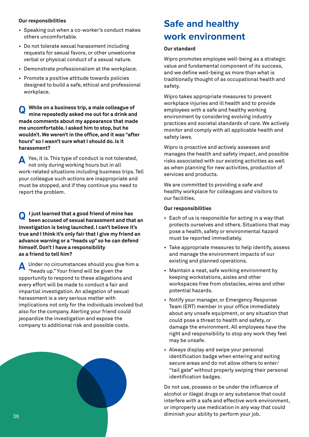## **Our responsibilities**

- Speaking out when a co-worker's conduct makes others uncomfortable.
- Do not tolerate sexual harassment including requests for sexual favors, or other unwelcome verbal or physical conduct of a sexual nature.
- Demonstrate professionalism at the workplace.
- Promote a positive attitude towards policies designed to build a safe, ethical and professional workplace.

**While on a business trip, a male colleague of mine repeatedly asked me out for a drink and made comments about my appearance that made me uncomfortable. I asked him to stop, but he wouldn't. We weren't in the office, and it was "after hours" so I wasn't sure what I should do. Is it harassment? Q**

Yes, it is. This type of conduct is not tolerated, not only during working hours but in all work-related situations including business trips. Tell your colleague such actions are inappropriate and must be stopped, and if they continue you need to report the problem. **A**

**I just learned that a good friend of mine has been accused of sexual harassment and that an investigation is being launched. I can't believe it's true and I think it's only fair that I give my friend an advance warning or a "heads up" so he can defend himself. Don't I have a responsibility as a friend to tell him? Q**

Under no circumstances should you give him a "heads up." Your friend will be given the opportunity to respond to these allegations and every effort will be made to conduct a fair and impartial investigation. An allegation of sexual harassment is a very serious matter with implications not only for the individuals involved but also for the company. Alerting your friend could jeopardize the investigation and expose the company to additional risk and possible costs. **A**



# **Safe and healthy work environment**

## **Our standard**

Wipro promotes employee well-being as a strategic value and fundamental component of its success, and we define well-being as more than what is traditionally thought of as occupational health and safety.

Wipro takes appropriate measures to prevent workplace injuries and ill health and to provide employees with a safe and healthy working environment by considering evolving industry practices and societal standards of care. We actively monitor and comply with all applicable health and safety laws.

Wipro is proactive and actively assesses and manages the health and safety impact, and possible risks associated with our existing activities as well as when planning for new activities, production of services and products.

We are committed to providing a safe and healthy workplace for colleagues and visitors to our facilities.

#### **Our responsibilities**

- Each of us is responsible for acting in a way that protects ourselves and others. Situations that may pose a health, safety or environmental hazard must be reported immediately.
- Take appropriate measures to help identify, assess and manage the environment impacts of our existing and planned operations.
- Maintain a neat, safe working environment by keeping workstations, aisles and other workspaces free from obstacles, wires and other potential hazards.
- Notify your manager, or Emergency Response Team (ERT) member in your office immediately about any unsafe equipment, or any situation that could pose a threat to health and safety, or damage the environment. All employees have the right and responsibility to stop any work they feel may be unsafe.
- Always display and swipe your personal identification badge when entering and exiting secure areas and do not allow others to enter/ "tail gate" without properly swiping their personal identification badges.

Do not use, possess or be under the influence of alcohol or illegal drugs or any substance that could interfere with a safe and effective work environment, or improperly use medication in any way that could diminish your ability to perform your job.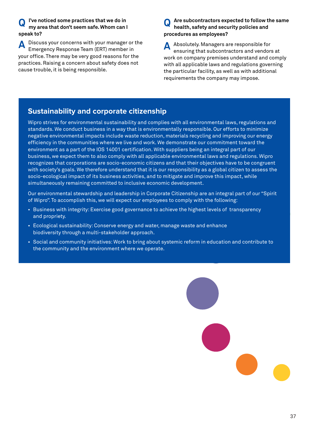#### **I've noticed some practices that we do in my area that don't seem safe. Whom can I speak to? Q**

Discuss your concerns with your manager or the Emergency Response Team (ERT) member in your office. There may be very good reasons for the practices. Raising a concern about safety does not cause trouble, it is being responsible. **A**

#### **Are subcontractors expected to follow the same health, safety and security policies and procedures as employees? Q**

Absolutely. Managers are responsible for ensuring that subcontractors and vendors at work on company premises understand and comply with all applicable laws and regulations governing the particular facility, as well as with additional requirements the company may impose. **A**

# **Sustainability and corporate citizenship**

Wipro strives for environmental sustainability and complies with all environmental laws, regulations and standards. We conduct business in a way that is environmentally responsible. Our efforts to minimize negative environmental impacts include waste reduction, materials recycling and improving our energy efficiency in the communities where we live and work. We demonstrate our commitment toward the environment as a part of the IOS 14001 certification. With suppliers being an integral part of our business, we expect them to also comply with all applicable environmental laws and regulations. Wipro recognizes that corporations are socio-economic citizens and that their objectives have to be congruent with society's goals. We therefore understand that it is our responsibility as a global citizen to assess the socio-ecological impact of its business activities, and to mitigate and improve this impact, while simultaneously remaining committed to inclusive economic development.

Our environmental stewardship and leadership in Corporate Citizenship are an integral part of our "Spirit of Wipro". To accomplish this, we will expect our employees to comply with the following:

- Business with integrity: Exercise good governance to achieve the highest levels of transparency and propriety.
- Ecological sustainability: Conserve energy and water, manage waste and enhance biodiversity through a multi-stakeholder approach.
- Social and community initiatives: Work to bring about systemic reform in education and contribute to the community and the environment where we operate.

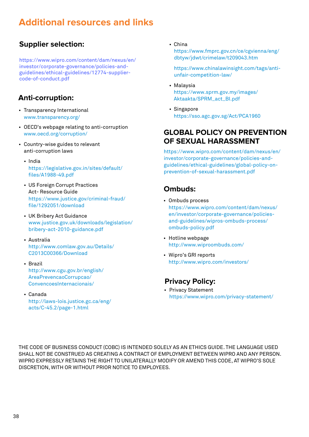# **Additional resources and links**

# **Supplier selection:**

[https://www.wipro.com/content/dam/nexus/en/](https://www.wipro.com/content/dam/nexus/en/investor/corporate-governance/policies-and-guidelines/ethical-guidelines/12774-supplier-code-of-conduct.pdf) investor/corporate-governance/policies-andguidelines/ethical-guidelines/12774-suppliercode-of-conduct.pdf

# **Anti-corruption:**

- Transparency International www.transparency.org/
- OECD's webpage relating to anti-corruption www.oecd.org/corruption/
- Country-wise guides to relevant anti-corruption laws
	- India [https://legislative.gov.in/sites/default/](https://legislative.gov.in/sites/default/files/A1988-49.pdf) files/A1988-49.pdf
	- US Foreign Corrupt Practices Act- Resource Guide [https://www.justice.gov/criminal-fraud/](https://www.justice.gov/criminal-fraud/file/1292051/download) file/1292051/download
	- UK Bribery Act Guidance [www.justice.gov.uk/downloads/legislation/](https://www.justice.gov.uk/downloads/legislation/bribery-act-2010-guidance.pdf) bribery-act-2010-guidance.pdf
	- Australia [http://www.comlaw.gov.au/Details/](http://www.comlaw.gov.au/Details/C2013C00366/Download) C2013C00366/Download
	- Brazil [http://www.cgu.gov.br/english/](http://www.cgu.gov.br/english/AreaPrevencaoCorrupcao/ConvencoesInternacionais/) AreaPrevencaoCorrupcao/ ConvencoesInternacionais/
	- Canada [http://laws-lois.justice.gc.ca/eng/](https://laws-lois.justice.gc.ca/eng/acts/C-45.2/page-1.html)

acts/C-45.2/page-1.html

• China

[https://www.fmprc.gov.cn/ce/cgvienna/eng/](https://www.fmprc.gov.cn/ce/cgvienna/eng/dbtyw/jdwt/crimelaw/t209043.htm) dbtyw/jdwt/crimelaw/t209043.htm

https://www.chinalawinsight.com/tags/anti unfair-competition-law/

- Malaysia [https://www.sprm.gov.my/images/](https://www.sprm.gov.my/images/Aktaakta/SPRM_act_BI.pdf) Aktaakta/SPRM\_act\_BI.pdf
- Singapore https://sso.agc.gov.sg/Act/PCA1960

# **GLOBAL POLICY ON PREVENTION OF SEXUAL HARASSMENT**

[https://www.wipro.com/content/dam/nexus/en/](https://www.wipro.com/content/dam/nexus/en/investor/corporate-governance/policies-and-guidelines/ethical-guidelines/global-policy-on-prevention-of-sexual-harassment.pdf) investor/corporate-governance/policies-andguidelines/ethical-guidelines/global-policy-onprevention-of-sexual-harassment.pdf

# **Ombuds:**

- Ombuds process [https://www.wipro.com/content/dam/nexus/](https://www.wipro.com/content/dam/nexus/en/investor/corporate-governance/policies-and-guidelines/wipros-ombuds-process/ombuds-policy.pdf) en/investor/corporate-governance/policiesand-guidelines/wipros-ombuds-process/ ombuds-policy.pdf
- Hotline webpage http://www.wiproombuds.com/
- Wipro's GRI reports http://www.wipro.com/investors/

# **Privacy Policy:**

• [Privacy Statement](https://www.wipro.com/privacy-statement/) https://www.wipro.com/privacy-statement/

THE CODE OF BUSINESS CONDUCT (COBC) IS INTENDED SOLELY AS AN ETHICS GUIDE. THE LANGUAGE USED SHALL NOT BE CONSTRUED AS CREATING A CONTRACT OF EMPLOYMENT BETWEEN WIPRO AND ANY PERSON. WIPRO EXPRESSLY RETAINS THE RIGHT TO UNILATERALLY MODIFY OR AMEND THIS CODE, AT WIPRO'S SOLE DISCRETION, WITH OR WITHOUT PRIOR NOTICE TO EMPLOYEES.